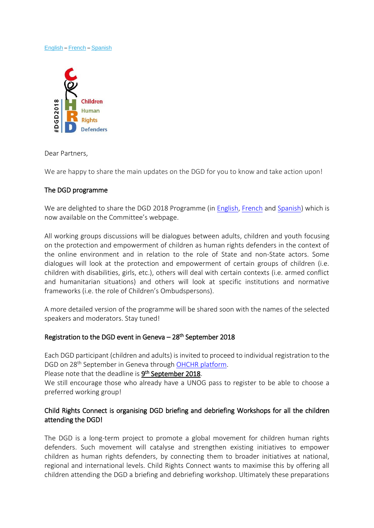#### [English](#page-0-0) – [French](#page-4-0) – [Spanish](#page-8-0)



<span id="page-0-0"></span>Dear Partners,

We are happy to share the main updates on the DGD for you to know and take action upon!

## The DGD programme

We are delighted to share the DGD 2018 Programme (in **English, [French](http://www.childrightsconnect.org/wp-content/uploads/2018/07/DGD-Programme_FR.pdf?x37799) and [Spanish\)](http://www.childrightsconnect.org/wp-content/uploads/2018/07/DGD-Programme_ES.pdf?x37799)** which is now available on the Committee's webpage.

All working groups discussions will be dialogues between adults, children and youth focusing on the protection and empowerment of children as human rights defenders in the context of the online environment and in relation to the role of State and non-State actors. Some dialogues will look at the protection and empowerment of certain groups of children (i.e. children with disabilities, girls, etc.), others will deal with certain contexts (i.e. armed conflict and humanitarian situations) and others will look at specific institutions and normative frameworks (i.e. the role of Children's Ombudspersons).

A more detailed version of the programme will be shared soon with the names of the selected speakers and moderators. Stay tuned!

## Registration to the DGD event in Geneva - 28<sup>th</sup> September 2018

Each DGD participant (children and adults) is invited to proceed to individual registration to the DGD on 28<sup>th</sup> September in Geneva through OHCHR [platform.](https://reg.unog.ch/event/24042/)

Please note that the deadline is **9<sup>th</sup> September 2018**.

We still encourage those who already have a UNOG pass to register to be able to choose a preferred working group!

## Child Rights Connect is organising DGD briefing and debriefing Workshops for all the children attending the DGD!

The DGD is a long-term project to promote a global movement for children human rights defenders. Such movement will catalyse and strengthen existing initiatives to empower children as human rights defenders, by connecting them to broader initiatives at national, regional and international levels. Child Rights Connect wants to maximise this by offering all children attending the DGD a briefing and debriefing workshop. Ultimately these preparations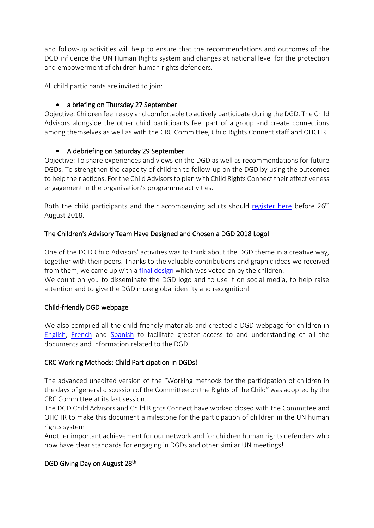and follow-up activities will help to ensure that the recommendations and outcomes of the DGD influence the UN Human Rights system and changes at national level for the protection and empowerment of children human rights defenders.

All child participants are invited to join:

# • a briefing on Thursday 27 September

Objective: Children feel ready and comfortable to actively participate during the DGD. The Child Advisors alongside the other child participants feel part of a group and create connections among themselves as well as with the CRC Committee, Child Rights Connect staff and OHCHR.

# • A debriefing on Saturday 29 September

Objective: To share experiences and views on the DGD as well as recommendations for future DGDs. To strengthen the capacity of children to follow-up on the DGD by using the outcomes to help their actions. For the Child Advisors to plan with Child Rights Connect their effectiveness engagement in the organisation's programme activities.

Both the child participants and their accompanying adults should [register here](https://www.surveymonkey.com/r/VDX72T3) before 26<sup>th</sup> August 2018.

## The Children's Advisory Team Have Designed and Chosen a DGD 2018 Logo!

attention and to give the DGD more global identity and recognition!

One of the DGD Child Advisors' activities was to think about the DGD theme in a creative way, together with their peers. Thanks to the valuable contributions and graphic ideas we received from them, we came up with [a final design](http://www.childrightsconnect.org/wp-content/uploads/2018/06/CHRD_DGD_Logo.jpg?x37799) which was voted on by the children. We count on you to disseminate the DGD logo and to use it on social media, to help raise

# Child-friendly DGD webpage

We also compiled all the child-friendly materials and created a DGD webpage for children in [English,](http://www.childrightsconnect.org/connect-with-the-un-2/committee-on-the-rights-of-the-child/days-of-general-discussion/cf-dgd2018/) [French](http://www.childrightsconnect.org/connect-with-the-un-2/committee-on-the-rights-of-the-child/days-of-general-discussion/cf-dgd2018/cf-dgd2018-fr/) and [Spanish](http://www.childrightsconnect.org/connect-with-the-un-2/committee-on-the-rights-of-the-child/days-of-general-discussion/cf-dgd2018/cf-dgd2018-es/) to facilitate greater access to and understanding of all the documents and information related to the DGD.

## CRC Working Methods: Child Participation in DGDs!

The advanced unedited version of the "Working methods for the participation of children in the days of general discussion of the Committee on the Rights of the Child" was adopted by the CRC Committee at its last session.

The DGD Child Advisors and Child Rights Connect have worked closed with the Committee and OHCHR to make this document a milestone for the participation of children in the UN human rights system!

Another important achievement for our network and for children human rights defenders who now have clear standards for engaging in DGDs and other similar UN meetings!

## DGD Giving Day on August 28<sup>th</sup>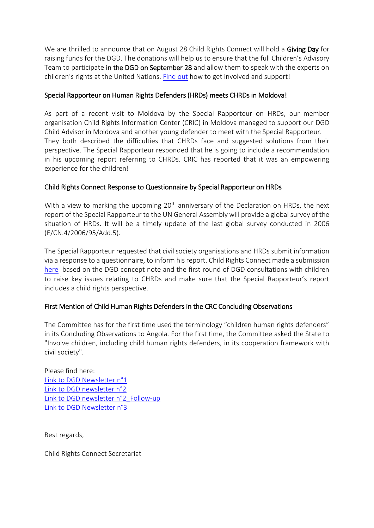We are thrilled to announce that on August 28 Child Rights Connect will hold a Giving Day for raising funds for the DGD. The donations will help us to ensure that the full Children's Advisory Team to participate in the DGD on September 28 and allow them to speak with the experts on children's rights at the United Nations. [Find out](https://childrightsconnect.nationbuilder.com/r?u=https%3A%2F%2Fd3n8a8pro7vhmx.cloudfront.net%2Fchildrightsconnect%2Fmailings%2F622%2Fattachments%2Foriginal%2F2018_MemberPartnerCall_GivingDay.docx%3F1531408383&e=ef25d8138ef8eae0a2151a000aa60fb0&utm_source=childrightsconnect&utm_medium=email&utm_campaign=mbrnws12_07_18&n=1) how to get involved and support!

## Special Rapporteur on Human Rights Defenders (HRDs) meets CHRDs in Moldova!

As part of a recent visit to Moldova by the Special Rapporteur on HRDs, our member organisation Child Rights Information Center (CRIC) in Moldova managed to support our DGD Child Advisor in Moldova and another young defender to meet with the Special Rapporteur. They both described the difficulties that CHRDs face and suggested solutions from their perspective. The Special Rapporteur responded that he is going to include a recommendation in his upcoming report referring to CHRDs. CRIC has reported that it was an empowering experience for the children!

## Child Rights Connect Response to Questionnaire by Special Rapporteur on HRDs

With a view to marking the upcoming 20<sup>th</sup> anniversary of the Declaration on HRDs, the next report of the Special Rapporteur to the UN General Assembly will provide a global survey of the situation of HRDs. It will be a timely update of the last global survey conducted in 2006 (E/CN.4/2006/95/Add.5).

The Special Rapporteur requested that civil society organisations and HRDs submit information via a response to a questionnaire, to inform his report. Child Rights Connect made a submission [here](http://www.childrightsconnect.org/wp-content/uploads/2018/07/ChildRightsConnect_Response_SR_questionnaire_HRDs_June2018.pdf?x37799) based on the DGD concept note and the first round of DGD consultations with children to raise key issues relating to CHRDs and make sure that the Special Rapporteur's report includes a child rights perspective.

# First Mention of Child Human Rights Defenders in the CRC Concluding Observations

The Committee has for the first time used the terminology "children human rights defenders" in its Concluding Observations to Angola. For the first time, the Committee asked the State to "Involve children, including child human rights defenders, in its cooperation framework with civil society".

Please find here: [Link to DGD Newsletter n°1](http://www.childrightsconnect.org/wp-content/uploads/2018/04/ChildRightsConnect_DGD_Newsletter_1.pdf) [Link to DGD newsletter n°2](http://www.childrightsconnect.org/wp-content/uploads/2018/04/DGD_Newsletter2_Final.pdf?x37799) [Link to DGD newsletter n°2\\_Follow-up](http://www.childrightsconnect.org/wp-content/uploads/2018/06/ChildRightsConnect_DGD_Newsletter_2_Follow_up.pdf) [Link to DGD Newsletter n°3](http://www.childrightsconnect.org/wp-content/uploads/2018/06/ChildRightsConnect_DGD_Newsletter_3.pdf?x37799)

Best regards,

Child Rights Connect Secretariat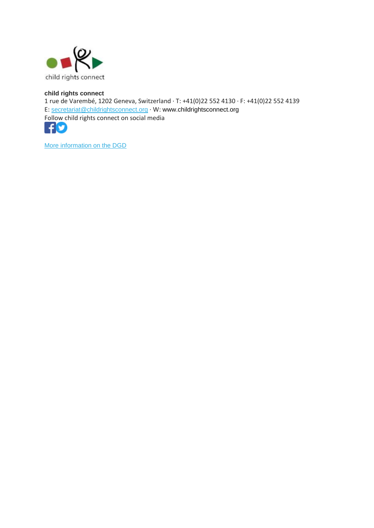

#### **child rights connect**

1 rue de Varembé, 1202 Geneva, Switzerland · T: +41(0)22 552 4130 · F: +41(0)22 552 4139 E: [secretariat@childrightsconnect.org](mailto:secretariat@childrightsconnect.org) · W: www.childrightsconnect.org Follow child rights connect on social media



More [information on the DGD](http://www.childrightsconnect.org/connect-with-the-un-2/committee-on-the-rights-of-the-child/days-of-general-discussion/)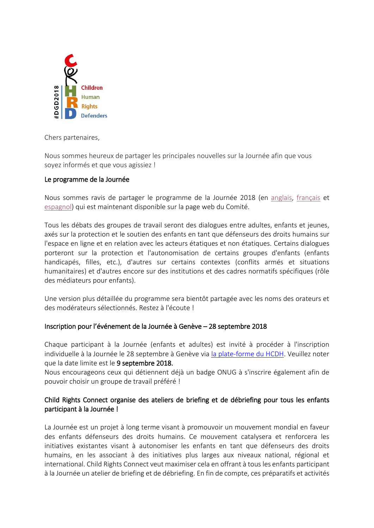

<span id="page-4-0"></span>Chers partenaires,

Nous sommes heureux de partager les principales nouvelles sur la Journée afin que vous soyez informés et que vous agissiez !

## Le programme de la Journée

Nous sommes ravis de partager le programme de la Journée 2018 (en [anglais,](http://www.childrightsconnect.org/wp-content/uploads/2018/07/DGD-Programme.pdf?x37799) [français](http://www.childrightsconnect.org/wp-content/uploads/2018/07/DGD-Programme_FR.pdf?x37799) et [espagnol\)](http://www.childrightsconnect.org/wp-content/uploads/2018/07/DGD-Programme_ES.pdf?x37799) qui est maintenant disponible sur la page web du Comité.

Tous les débats des groupes de travail seront des dialogues entre adultes, enfants et jeunes, axés sur la protection et le soutien des enfants en tant que défenseurs des droits humains sur l'espace en ligne et en relation avec les acteurs étatiques et non étatiques. Certains dialogues porteront sur la protection et l'autonomisation de certains groupes d'enfants (enfants handicapés, filles, etc.), d'autres sur certains contextes (conflits armés et situations humanitaires) et d'autres encore sur des institutions et des cadres normatifs spécifiques (rôle des médiateurs pour enfants).

Une version plus détaillée du programme sera bientôt partagée avec les noms des orateurs et des modérateurs sélectionnés. Restez à l'écoute !

## Inscription pour l'événement de la Journée à Genève – 28 septembre 2018

Chaque participant à la Journée (enfants et adultes) est invité à procéder à l'inscription individuelle à la Journée le 28 septembre à Genève via [la plate-forme du HCDH.](https://reg.unog.ch/event/24042/) Veuillez noter que la date limite est le 9 septembre 2018.

Nous encourageons ceux qui détiennent déjà un badge ONUG à s'inscrire également afin de pouvoir choisir un groupe de travail préféré !

## Child Rights Connect organise des ateliers de briefing et de débriefing pour tous les enfants participant à la Journée !

La Journée est un projet à long terme visant à promouvoir un mouvement mondial en faveur des enfants défenseurs des droits humains. Ce mouvement catalysera et renforcera les initiatives existantes visant à autonomiser les enfants en tant que défenseurs des droits humains, en les associant à des initiatives plus larges aux niveaux national, régional et international. Child Rights Connect veut maximiser cela en offrant à tous les enfants participant à la Journée un atelier de briefing et de débriefing. En fin de compte, ces préparatifs et activités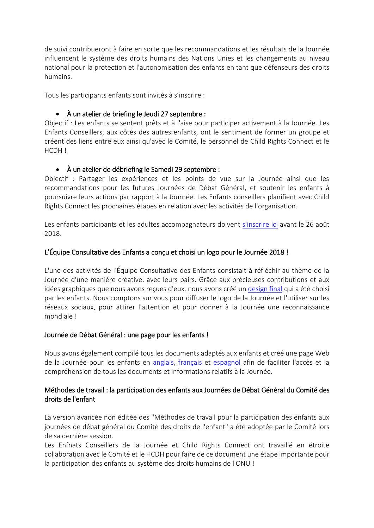de suivi contribueront à faire en sorte que les recommandations et les résultats de la Journée influencent le système des droits humains des Nations Unies et les changements au niveau national pour la protection et l'autonomisation des enfants en tant que défenseurs des droits humains.

Tous les participants enfants sont invités à s'inscrire :

# • À un atelier de briefing le Jeudi 27 septembre :

Objectif : Les enfants se sentent prêts et à l'aise pour participer activement à la Journée. Les Enfants Conseillers, aux côtés des autres enfants, ont le sentiment de former un groupe et créent des liens entre eux ainsi qu'avec le Comité, le personnel de Child Rights Connect et le HCDH !

## • À un atelier de débriefing le Samedi 29 septembre :

Objectif : Partager les expériences et les points de vue sur la Journée ainsi que les recommandations pour les futures Journées de Débat Général, et soutenir les enfants à poursuivre leurs actions par rapport à la Journée. Les Enfants conseillers planifient avec Child Rights Connect les prochaines étapes en relation avec les activités de l'organisation.

Les enfants participants et les adultes accompagnateurs doivent [s'inscrire ici](https://fr.surveymonkey.com/r/NLPC2CG) avant le 26 août 2018.

## L'Équipe Consultative des Enfants a conçu et choisi un logo pour le Journée 2018 !

L'une des activités de l'Équipe Consultative des Enfants consistait à réfléchir au thème de la Journée d'une manière créative, avec leurs pairs. Grâce aux précieuses contributions et aux idées graphiques que nous avons reçues d'eux, nous avons créé un [design final](http://www.childrightsconnect.org/wp-content/uploads/2018/06/CHRD_DGD_Logo.jpg?x37799) qui a été choisi par les enfants. Nous comptons sur vous pour diffuser le logo de la Journée et l'utiliser sur les réseaux sociaux, pour attirer l'attention et pour donner à la Journée une reconnaissance mondiale !

## Journée de Débat Général : une page pour les enfants !

Nous avons également compilé tous les documents adaptés aux enfants et créé une page Web de la Journée pour les enfants en [anglais,](http://www.childrightsconnect.org/connect-with-the-un-2/committee-on-the-rights-of-the-child/days-of-general-discussion/cf-dgd2018/) [français](http://www.childrightsconnect.org/connect-with-the-un-2/committee-on-the-rights-of-the-child/days-of-general-discussion/cf-dgd2018/cf-dgd2018-fr/) et [espagnol](http://www.childrightsconnect.org/connect-with-the-un-2/committee-on-the-rights-of-the-child/days-of-general-discussion/cf-dgd2018/cf-dgd2018-es/) afin de faciliter l'accès et la compréhension de tous les documents et informations relatifs à la Journée.

## Méthodes de travail : la participation des enfants aux Journées de Débat Général du Comité des droits de l'enfant

La version avancée non éditée des "Méthodes de travail pour la participation des enfants aux journées de débat général du Comité des droits de l'enfant" a été adoptée par le Comité lors de sa dernière session.

Les Enfnats Conseillers de la Journée et Child Rights Connect ont travaillé en étroite collaboration avec le Comité et le HCDH pour faire de ce document une étape importante pour la participation des enfants au système des droits humains de l'ONU !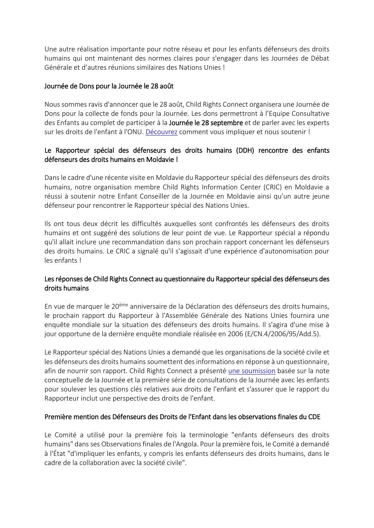Une autre réalisation importante pour notre réseau et pour les enfants défenseurs des droits humains qui ont maintenant des normes claires pour s'engager dans les Journées de Débat Générale et d'autres réunions similaires des Nations Unies !

## Journée de Dons pour la Journée le 28 août

Nous sommes ravis d'annoncer que le 28 août, Child Rights Connect organisera une Journée de Dons pour la collecte de fonds pour la Journée. Les dons permettront à l'Equipe Consultative des Enfants au complet de participer à la Journée le 28 septembre et de parler avec les experts sur les droits de l'enfant à l'ONU. [Découvrez](https://childrightsconnect.nationbuilder.com/r?u=https%3A%2F%2Fd3n8a8pro7vhmx.cloudfront.net%2Fchildrightsconnect%2Fmailings%2F622%2Fattachments%2Foriginal%2F2018_MemberPartnerCall_GivingDay.docx%3F1531408383&e=ef25d8138ef8eae0a2151a000aa60fb0&utm_source=childrightsconnect&utm_medium=email&utm_campaign=mbrnws12_07_18&n=1) comment vous impliquer et nous soutenir !

## Le Rapporteur spécial des défenseurs des droits humains (DDH) rencontre des enfants défenseurs des droits humains en Moldavie !

Dans le cadre d'une récente visite en Moldavie du Rapporteur spécial des défenseurs des droits humains, notre organisation membre Child Rights Information Center (CRIC) en Moldavie a réussi à soutenir notre Enfant Conseiller de la Journée en Moldavie ainsi qu'un autre jeune défenseur pour rencontrer le Rapporteur spécial des Nations Unies.

Ils ont tous deux décrit les difficultés auxquelles sont confrontés les défenseurs des droits humains et ont suggéré des solutions de leur point de vue. Le Rapporteur spécial a répondu qu'il allait inclure une recommandation dans son prochain rapport concernant les défenseurs des droits humains. Le CRIC a signalé qu'il s'agissait d'une expérience d'autonomisation pour les enfants !

## Les réponses de Child Rights Connect au questionnaire du Rapporteur spécial des défenseurs des droits humains

En vue de marquer le 20ème anniversaire de la Déclaration des défenseurs des droits humains, le prochain rapport du Rapporteur à l'Assemblée Générale des Nations Unies fournira une enquête mondiale sur la situation des défenseurs des droits humains. Il s'agira d'une mise à jour opportune de la dernière enquête mondiale réalisée en 2006 (E/CN.4/2006/95/Add.5).

Le Rapporteur spécial des Nations Unies a demandé que les organisations de la société civile et les défenseurs des droits humains soumettent des informations en réponse à un questionnaire, afin de nourrir son rapport. Child Rights Connect a présenté [une soumission](http://www.childrightsconnect.org/wp-content/uploads/2018/07/ChildRightsConnect_Response_SR_questionnaire_HRDs_June2018.pdf?x37799) basée sur la note conceptuelle de la Journée et la première série de consultations de la Journée avec les enfants pour soulever les questions clés relatives aux droits de l'enfant et s'assurer que le rapport du Rapporteur inclut une perspective des droits de l'enfant.

## Première mention des Défenseurs des Droits de l'Enfant dans les observations finales du CDE

Le Comité a utilisé pour la première fois la terminologie "enfants défenseurs des droits humains" dans ses Observations finales de l'Angola. Pour la première fois, le Comité a demandé à l'État "d'impliquer les enfants, y compris les enfants défenseurs des droits humains, dans le cadre de la collaboration avec la société civile".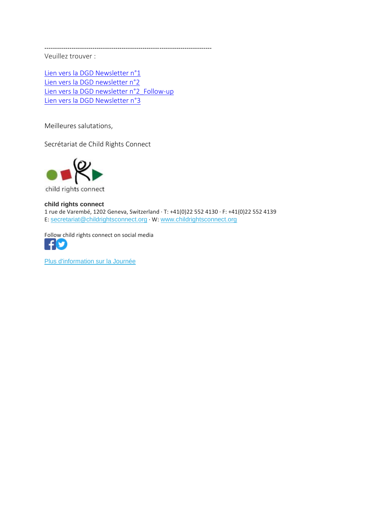Veuillez trouver :

[Lien vers la DGD Newsletter n°1](http://www.childrightsconnect.org/wp-content/uploads/2018/04/ChildRightsConnect_DGD_Newsletter_1.pdf) [Lien vers la DGD newsletter n°2](http://www.childrightsconnect.org/wp-content/uploads/2018/04/DGD_Newsletter2_Final.pdf?x37799) Lien vers la DGD newsletter n°2 Follow-up [Lien vers la DGD Newsletter n°3](http://www.childrightsconnect.org/wp-content/uploads/2018/06/ChildRightsConnect_DGD_Newsletter_3.pdf?x37799)

--------------------------------------------------------------------------------

Meilleures salutations,

Secrétariat de Child Rights Connect



child rights connect

#### **child rights connect**

1 rue de Varembé, 1202 Geneva, Switzerland · T: +41(0)22 552 4130 · F: +41(0)22 552 4139 E: [secretariat@childrightsconnect.org](mailto:secretariat@childrightsconnect.org) · W: [www.childrightsconnect.org](http://www.childrightsconnect.org/)

Follow child rights connect on social media



[Plus d'information sur la Journée](http://www.childrightsconnect.org/connect-with-the-un-2/committee-on-the-rights-of-the-child/days-of-general-discussion/)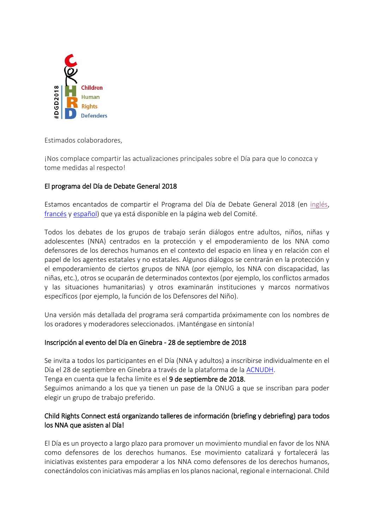

<span id="page-8-0"></span>Estimados colaboradores,

¡Nos complace compartir las actualizaciones principales sobre el Día para que lo conozca y tome medidas al respecto!

# El programa del Día de Debate General 2018

Estamos encantados de compartir el Programa del Día de Debate General 2018 (en [inglés,](http://www.childrightsconnect.org/wp-content/uploads/2018/07/DGD-Programme.pdf?x37799) [francés](http://www.childrightsconnect.org/wp-content/uploads/2018/07/DGD-Programme_FR.pdf?x37799) y [español\)](http://www.childrightsconnect.org/wp-content/uploads/2018/07/DGD-Programme_ES.pdf?x37799) que ya está disponible en la página web del Comité.

Todos los debates de los grupos de trabajo serán diálogos entre adultos, niños, niñas y adolescentes (NNA) centrados en la protección y el empoderamiento de los NNA como defensores de los derechos humanos en el contexto del espacio en línea y en relación con el papel de los agentes estatales y no estatales. Algunos diálogos se centrarán en la protección y el empoderamiento de ciertos grupos de NNA (por ejemplo, los NNA con discapacidad, las niñas, etc.), otros se ocuparán de determinados contextos (por ejemplo, los conflictos armados y las situaciones humanitarias) y otros examinarán instituciones y marcos normativos específicos (por ejemplo, la función de los Defensores del Niño).

Una versión más detallada del programa será compartida próximamente con los nombres de los oradores y moderadores seleccionados. ¡Manténgase en sintonía!

## Inscripción al evento del Día en Ginebra - 28 de septiembre de 2018

Se invita a todos los participantes en el Día (NNA y adultos) a inscribirse individualmente en el Día el 28 de septiembre en Ginebra a través de la plataforma de la [ACNUDH.](https://reg.unog.ch/event/24042/)

Tenga en cuenta que la fecha límite es el 9 de septiembre de 2018.

Seguimos animando a los que ya tienen un pase de la ONUG a que se inscriban para poder elegir un grupo de trabajo preferido.

# Child Rights Connect está organizando talleres de información (briefing y debriefing) para todos los NNA que asisten al Día!

El Día es un proyecto a largo plazo para promover un movimiento mundial en favor de los NNA como defensores de los derechos humanos. Ese movimiento catalizará y fortalecerá las iniciativas existentes para empoderar a los NNA como defensores de los derechos humanos, conectándolos con iniciativas más amplias en los planos nacional, regional e internacional. Child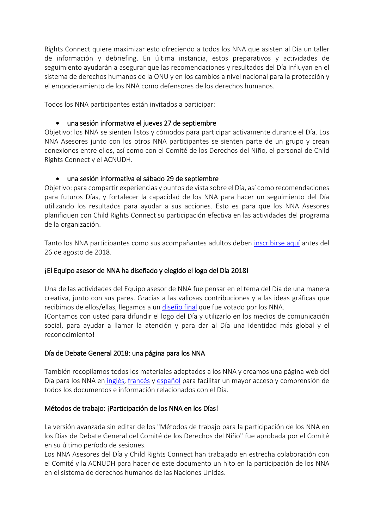Rights Connect quiere maximizar esto ofreciendo a todos los NNA que asisten al Día un taller de información y debriefing. En última instancia, estos preparativos y actividades de seguimiento ayudarán a asegurar que las recomendaciones y resultados del Día influyan en el sistema de derechos humanos de la ONU y en los cambios a nivel nacional para la protección y el empoderamiento de los NNA como defensores de los derechos humanos.

Todos los NNA participantes están invitados a participar:

## • una sesión informativa el jueves 27 de septiembre

Objetivo: los NNA se sienten listos y cómodos para participar activamente durante el Día. Los NNA Asesores junto con los otros NNA participantes se sienten parte de un grupo y crean conexiones entre ellos, así como con el Comité de los Derechos del Niño, el personal de Child Rights Connect y el ACNUDH.

## • una sesión informativa el sábado 29 de septiembre

Objetivo: para compartir experiencias y puntos de vista sobre el Día, así como recomendaciones para futuros Días, y fortalecer la capacidad de los NNA para hacer un seguimiento del Día utilizando los resultados para ayudar a sus acciones. Esto es para que los NNA Asesores planifiquen con Child Rights Connect su participación efectiva en las actividades del programa de la organización.

Tanto los NNA participantes como sus acompañantes adultos deben [inscribirse aquí](https://fr.surveymonkey.com/r/NLMR77R) antes del 26 de agosto de 2018.

# ¡El Equipo asesor de NNA ha diseñado y elegido el logo del Día 2018!

Una de las actividades del Equipo asesor de NNA fue pensar en el tema del Día de una manera creativa, junto con sus pares. Gracias a las valiosas contribuciones y a las ideas gráficas que recibimos de ellos/ellas, llegamos a un [diseño final](http://www.childrightsconnect.org/wp-content/uploads/2018/06/CHRD_DGD_Logo.jpg?x37799) que fue votado por los NNA.

¡Contamos con usted para difundir el logo del Día y utilizarlo en los medios de comunicación social, para ayudar a llamar la atención y para dar al Día una identidad más global y el reconocimiento!

# Día de Debate General 2018: una página para los NNA

También recopilamos todos los materiales adaptados a los NNA y creamos una página web del Día para los NNA en [inglés,](http://www.childrightsconnect.org/connect-with-the-un-2/committee-on-the-rights-of-the-child/days-of-general-discussion/cf-dgd2018/cf-dgd2018-es/) [francés](http://www.childrightsconnect.org/connect-with-the-un-2/committee-on-the-rights-of-the-child/days-of-general-discussion/cf-dgd2018/cf-dgd2018-fr/) y [español](http://www.childrightsconnect.org/connect-with-the-un-2/committee-on-the-rights-of-the-child/days-of-general-discussion/cf-dgd2018/cf-dgd2018-es/) para facilitar un mayor acceso y comprensión de todos los documentos e información relacionados con el Día.

## Métodos de trabajo: ¡Participación de los NNA en los Días!

La versión avanzada sin editar de los "Métodos de trabajo para la participación de los NNA en los Días de Debate General del Comité de los Derechos del Niño" fue aprobada por el Comité en su último período de sesiones.

Los NNA Asesores del Día y Child Rights Connect han trabajado en estrecha colaboración con el Comité y la ACNUDH para hacer de este documento un hito en la participación de los NNA en el sistema de derechos humanos de las Naciones Unidas.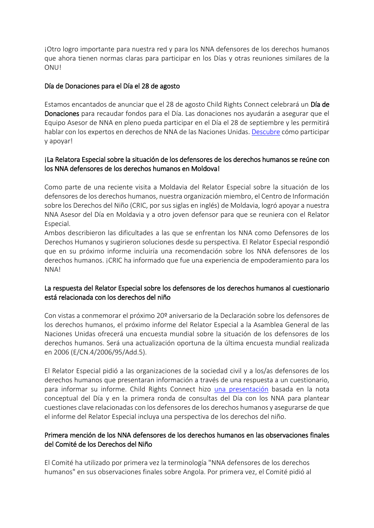¡Otro logro importante para nuestra red y para los NNA defensores de los derechos humanos que ahora tienen normas claras para participar en los Días y otras reuniones similares de la ONU!

## Día de Donaciones para el Día el 28 de agosto

Estamos encantados de anunciar que el 28 de agosto Child Rights Connect celebrará un Día de Donaciones para recaudar fondos para el Día. Las donaciones nos ayudarán a asegurar que el Equipo Asesor de NNA en pleno pueda participar en el Día el 28 de septiembre y les permitirá hablar con los expertos en derechos de NNA de las Naciones Unidas[. Descubre](https://childrightsconnect.nationbuilder.com/r?u=https%3A%2F%2Fd3n8a8pro7vhmx.cloudfront.net%2Fchildrightsconnect%2Fmailings%2F622%2Fattachments%2Foriginal%2F2018_MemberPartnerCall_GivingDay.docx%3F1531408383&e=ef25d8138ef8eae0a2151a000aa60fb0&utm_source=childrightsconnect&utm_medium=email&utm_campaign=mbrnws12_07_18&n=1) cómo participar y apoyar!

## ¡La Relatora Especial sobre la situación de los defensores de los derechos humanos se reúne con los NNA defensores de los derechos humanos en Moldova!

Como parte de una reciente visita a Moldavia del Relator Especial sobre la situación de los defensores de los derechos humanos, nuestra organización miembro, el Centro de Información sobre los Derechos del Niño (CRIC, por sus siglas en inglés) de Moldavia, logró apoyar a nuestra NNA Asesor del Día en Moldavia y a otro joven defensor para que se reuniera con el Relator Especial.

Ambos describieron las dificultades a las que se enfrentan los NNA como Defensores de los Derechos Humanos y sugirieron soluciones desde su perspectiva. El Relator Especial respondió que en su próximo informe incluiría una recomendación sobre los NNA defensores de los derechos humanos. ¡CRIC ha informado que fue una experiencia de empoderamiento para los NNA!

## La respuesta del Relator Especial sobre los defensores de los derechos humanos al cuestionario está relacionada con los derechos del niño

Con vistas a conmemorar el próximo 20º aniversario de la Declaración sobre los defensores de los derechos humanos, el próximo informe del Relator Especial a la Asamblea General de las Naciones Unidas ofrecerá una encuesta mundial sobre la situación de los defensores de los derechos humanos. Será una actualización oportuna de la última encuesta mundial realizada en 2006 (E/CN.4/2006/95/Add.5).

El Relator Especial pidió a las organizaciones de la sociedad civil y a los/as defensores de los derechos humanos que presentaran información a través de una respuesta a un cuestionario, para informar su informe. Child Rights Connect hizo [una presentación](http://www.childrightsconnect.org/wp-content/uploads/2018/07/ChildRightsConnect_Response_SR_questionnaire_HRDs_June2018.pdf?x37799) basada en la nota conceptual del Día y en la primera ronda de consultas del Día con los NNA para plantear cuestiones clave relacionadas con los defensores de los derechos humanos y asegurarse de que el informe del Relator Especial incluya una perspectiva de los derechos del niño.

## Primera mención de los NNA defensores de los derechos humanos en las observaciones finales del Comité de los Derechos del Niño

El Comité ha utilizado por primera vez la terminología "NNA defensores de los derechos humanos" en sus observaciones finales sobre Angola. Por primera vez, el Comité pidió al